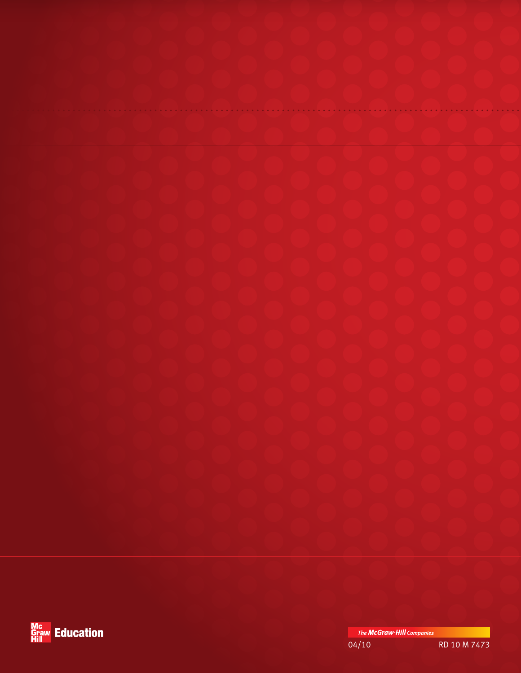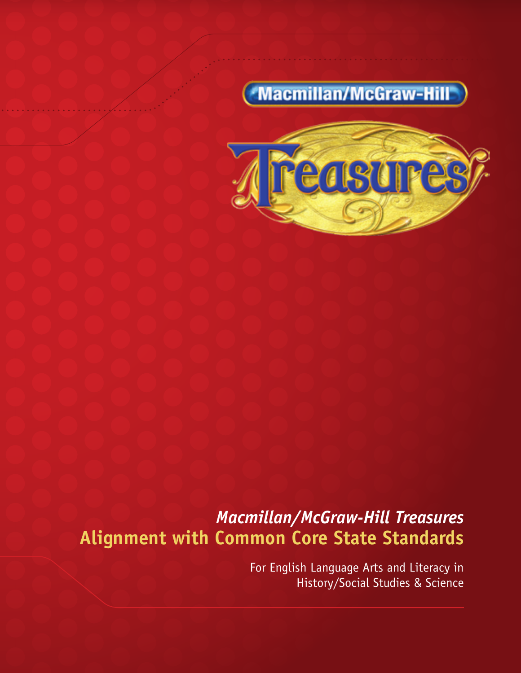# **Macmillan/McGraw-Hill**



*Macmillan/McGraw-Hill Treasures*  **Alignment with Common Core State Standards** 

> For English Language Arts and Literacy in History/Social Studies & Science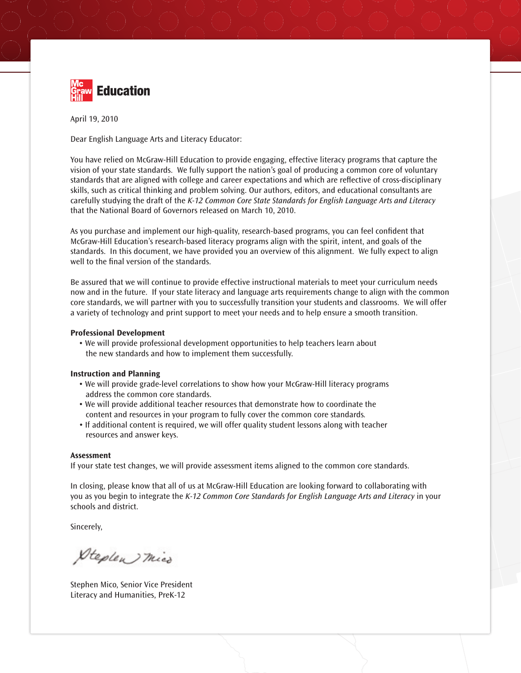

April 19, 2010

Dear English Language Arts and Literacy Educator:

You have relied on McGraw-Hill Education to provide engaging, effective literacy programs that capture the vision of your state standards. We fully support the nation's goal of producing a common core of voluntary standards that are aligned with college and career expectations and which are reflective of cross-disciplinary skills, such as critical thinking and problem solving. Our authors, editors, and educational consultants are carefully studying the draft of the *K-12 Common Core State Standards for English Language Arts and Literacy*  that the National Board of Governors released on March 10, 2010.

As you purchase and implement our high-quality, research-based programs, you can feel confident that McGraw-Hill Education's research-based literacy programs align with the spirit, intent, and goals of the standards. In this document, we have provided you an overview of this alignment. We fully expect to align well to the final version of the standards.

Be assured that we will continue to provide effective instructional materials to meet your curriculum needs now and in the future. If your state literacy and language arts requirements change to align with the common core standards, we will partner with you to successfully transition your students and classrooms. We will offer a variety of technology and print support to meet your needs and to help ensure a smooth transition.

#### **Professional Development**

• We will provide professional development opportunities to help teachers learn about the new standards and how to implement them successfully.

#### **Instruction and Planning**

- We will provide grade-level correlations to show how your McGraw-Hill literacy programs address the common core standards.
- We will provide additional teacher resources that demonstrate how to coordinate the content and resources in your program to fully cover the common core standards*.*
- If additional content is required, we will offer quality student lessons along with teacher resources and answer keys.

#### **Assessment**

If your state test changes, we will provide assessment items aligned to the common core standards.

In closing, please know that all of us at McGraw-Hill Education are looking forward to collaborating with you as you begin to integrate the *K-12 Common Core Standards for English Language Arts and Literacy* in your schools and district.

Sincerely,

Steplen mico

Stephen Mico, Senior Vice President Literacy and Humanities, PreK-12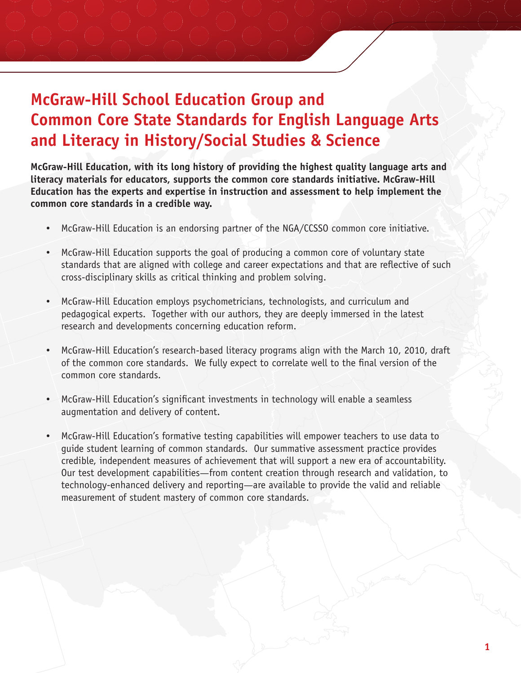## **McGraw-Hill School Education Group and Common Core State Standards for English Language Arts and Literacy in History/Social Studies & Science**

**McGraw-Hill Education, with its long history of providing the highest quality language arts and literacy materials for educators, supports the common core standards initiative. McGraw-Hill Education has the experts and expertise in instruction and assessment to help implement the common core standards in a credible way.**

- McGraw-Hill Education is an endorsing partner of the NGA/CCSSO common core initiative.
- McGraw-Hill Education supports the goal of producing a common core of voluntary state standards that are aligned with college and career expectations and that are reflective of such cross-disciplinary skills as critical thinking and problem solving.
- McGraw-Hill Education employs psychometricians, technologists, and curriculum and pedagogical experts. Together with our authors, they are deeply immersed in the latest research and developments concerning education reform.
- McGraw-Hill Education's research-based literacy programs align with the March 10, 2010, draft of the common core standards. We fully expect to correlate well to the final version of the common core standards.
- McGraw-Hill Education's significant investments in technology will enable a seamless augmentation and delivery of content.
- McGraw-Hill Education's formative testing capabilities will empower teachers to use data to guide student learning of common standards. Our summative assessment practice provides credible, independent measures of achievement that will support a new era of accountability. Our test development capabilities—from content creation through research and validation, to technology-enhanced delivery and reporting—are available to provide the valid and reliable measurement of student mastery of common core standards.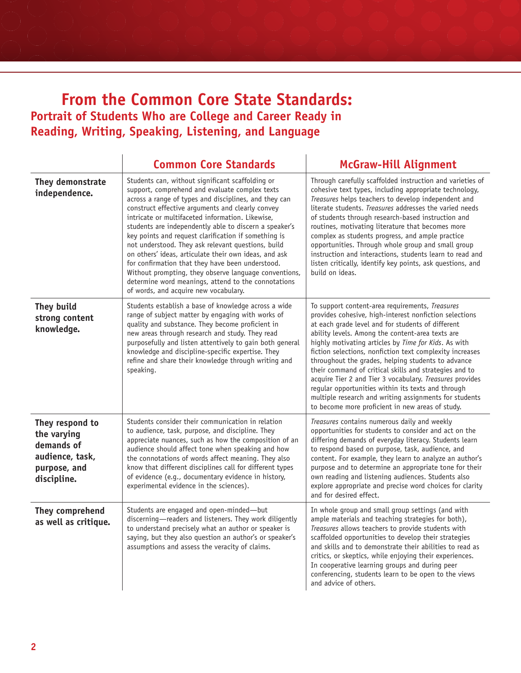### **From the Common Core State Standards: Portrait of Students Who are College and Career Ready in Reading, Writing, Speaking, Listening, and Language**

|                                                                                                | <b>Common Core Standards</b>                                                                                                                                                                                                                                                                                                                                                                                                                                                                                                                                                                                                                                                                                      | <b>McGraw-Hill Alignment</b>                                                                                                                                                                                                                                                                                                                                                                                                                                                                                                                                                                                                                                                           |
|------------------------------------------------------------------------------------------------|-------------------------------------------------------------------------------------------------------------------------------------------------------------------------------------------------------------------------------------------------------------------------------------------------------------------------------------------------------------------------------------------------------------------------------------------------------------------------------------------------------------------------------------------------------------------------------------------------------------------------------------------------------------------------------------------------------------------|----------------------------------------------------------------------------------------------------------------------------------------------------------------------------------------------------------------------------------------------------------------------------------------------------------------------------------------------------------------------------------------------------------------------------------------------------------------------------------------------------------------------------------------------------------------------------------------------------------------------------------------------------------------------------------------|
| They demonstrate<br>independence.                                                              | Students can, without significant scaffolding or<br>support, comprehend and evaluate complex texts<br>across a range of types and disciplines, and they can<br>construct effective arguments and clearly convey<br>intricate or multifaceted information. Likewise,<br>students are independently able to discern a speaker's<br>key points and request clarification if something is<br>not understood. They ask relevant questions, build<br>on others' ideas, articulate their own ideas, and ask<br>for confirmation that they have been understood.<br>Without prompting, they observe language conventions,<br>determine word meanings, attend to the connotations<br>of words, and acquire new vocabulary. | Through carefully scaffolded instruction and varieties of<br>cohesive text types, including appropriate technology,<br>Treasures helps teachers to develop independent and<br>literate students. Treasures addresses the varied needs<br>of students through research-based instruction and<br>routines, motivating literature that becomes more<br>complex as students progress, and ample practice<br>opportunities. Through whole group and small group<br>instruction and interactions, students learn to read and<br>listen critically, identify key points, ask questions, and<br>build on ideas.                                                                                |
| They build<br>strong content<br>knowledge.                                                     | Students establish a base of knowledge across a wide<br>range of subject matter by engaging with works of<br>quality and substance. They become proficient in<br>new areas through research and study. They read<br>purposefully and listen attentively to gain both general<br>knowledge and discipline-specific expertise. They<br>refine and share their knowledge through writing and<br>speaking.                                                                                                                                                                                                                                                                                                            | To support content-area requirements, Treasures<br>provides cohesive, high-interest nonfiction selections<br>at each grade level and for students of different<br>ability levels. Among the content-area texts are<br>highly motivating articles by Time for Kids. As with<br>fiction selections, nonfiction text complexity increases<br>throughout the grades, helping students to advance<br>their command of critical skills and strategies and to<br>acquire Tier 2 and Tier 3 vocabulary. Treasures provides<br>regular opportunities within its texts and through<br>multiple research and writing assignments for students<br>to become more proficient in new areas of study. |
| They respond to<br>the varying<br>demands of<br>audience, task,<br>purpose, and<br>discipline. | Students consider their communication in relation<br>to audience, task, purpose, and discipline. They<br>appreciate nuances, such as how the composition of an<br>audience should affect tone when speaking and how<br>the connotations of words affect meaning. They also<br>know that different disciplines call for different types<br>of evidence (e.g., documentary evidence in history,<br>experimental evidence in the sciences).                                                                                                                                                                                                                                                                          | Treasures contains numerous daily and weekly<br>opportunities for students to consider and act on the<br>differing demands of everyday literacy. Students learn<br>to respond based on purpose, task, audience, and<br>content. For example, they learn to analyze an author's<br>purpose and to determine an appropriate tone for their<br>own reading and listening audiences. Students also<br>explore appropriate and precise word choices for clarity<br>and for desired effect.                                                                                                                                                                                                  |
| They comprehend<br>as well as critique.                                                        | Students are engaged and open-minded-but<br>discerning-readers and listeners. They work diligently<br>to understand precisely what an author or speaker is<br>saying, but they also question an author's or speaker's<br>assumptions and assess the veracity of claims.                                                                                                                                                                                                                                                                                                                                                                                                                                           | In whole group and small group settings (and with<br>ample materials and teaching strategies for both),<br>Treasures allows teachers to provide students with<br>scaffolded opportunities to develop their strategies<br>and skills and to demonstrate their abilities to read as<br>critics, or skeptics, while enjoying their experiences.<br>In cooperative learning groups and during peer<br>conferencing, students learn to be open to the views<br>and advice of others.                                                                                                                                                                                                        |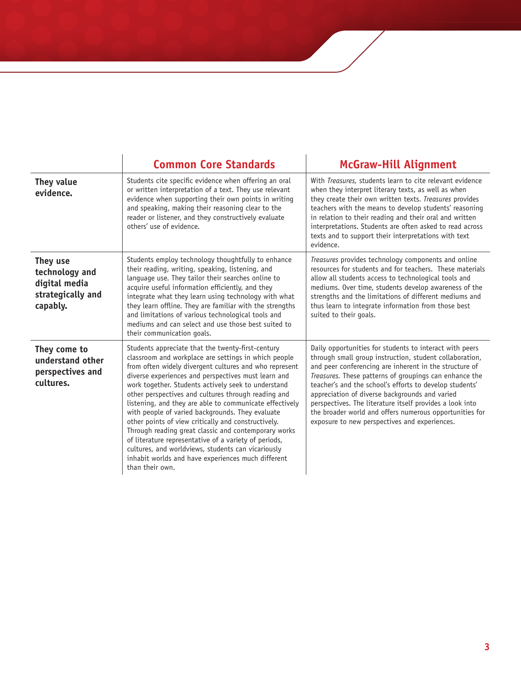|                                                                              | <b>Common Core Standards</b>                                                                                                                                                                                                                                                                                                                                                                                                                                                                                                                                                                                                                                                                                                                                   | <b>McGraw-Hill Alignment</b>                                                                                                                                                                                                                                                                                                                                                                                                                                                                                                |
|------------------------------------------------------------------------------|----------------------------------------------------------------------------------------------------------------------------------------------------------------------------------------------------------------------------------------------------------------------------------------------------------------------------------------------------------------------------------------------------------------------------------------------------------------------------------------------------------------------------------------------------------------------------------------------------------------------------------------------------------------------------------------------------------------------------------------------------------------|-----------------------------------------------------------------------------------------------------------------------------------------------------------------------------------------------------------------------------------------------------------------------------------------------------------------------------------------------------------------------------------------------------------------------------------------------------------------------------------------------------------------------------|
| They value<br>evidence.                                                      | Students cite specific evidence when offering an oral<br>or written interpretation of a text. They use relevant<br>evidence when supporting their own points in writing<br>and speaking, making their reasoning clear to the<br>reader or listener, and they constructively evaluate<br>others' use of evidence.                                                                                                                                                                                                                                                                                                                                                                                                                                               | With Treasures, students learn to cite relevant evidence<br>when they interpret literary texts, as well as when<br>they create their own written texts. Treasures provides<br>teachers with the means to develop students' reasoning<br>in relation to their reading and their oral and written<br>interpretations. Students are often asked to read across<br>texts and to support their interpretations with text<br>evidence.                                                                                            |
| They use<br>technology and<br>digital media<br>strategically and<br>capably. | Students employ technology thoughtfully to enhance<br>their reading, writing, speaking, listening, and<br>language use. They tailor their searches online to<br>acquire useful information efficiently, and they<br>integrate what they learn using technology with what<br>they learn offline. They are familiar with the strengths<br>and limitations of various technological tools and<br>mediums and can select and use those best suited to<br>their communication goals.                                                                                                                                                                                                                                                                                | Treasures provides technology components and online<br>resources for students and for teachers. These materials<br>allow all students access to technological tools and<br>mediums. Over time, students develop awareness of the<br>strengths and the limitations of different mediums and<br>thus learn to integrate information from those best<br>suited to their goals.                                                                                                                                                 |
| They come to<br>understand other<br>perspectives and<br>cultures.            | Students appreciate that the twenty-first-century<br>classroom and workplace are settings in which people<br>from often widely divergent cultures and who represent<br>diverse experiences and perspectives must learn and<br>work together. Students actively seek to understand<br>other perspectives and cultures through reading and<br>listening, and they are able to communicate effectively<br>with people of varied backgrounds. They evaluate<br>other points of view critically and constructively.<br>Through reading great classic and contemporary works<br>of literature representative of a variety of periods,<br>cultures, and worldviews, students can vicariously<br>inhabit worlds and have experiences much different<br>than their own. | Daily opportunities for students to interact with peers<br>through small group instruction, student collaboration,<br>and peer conferencing are inherent in the structure of<br>Treasures. These patterns of groupings can enhance the<br>teacher's and the school's efforts to develop students'<br>appreciation of diverse backgrounds and varied<br>perspectives. The literature itself provides a look into<br>the broader world and offers numerous opportunities for<br>exposure to new perspectives and experiences. |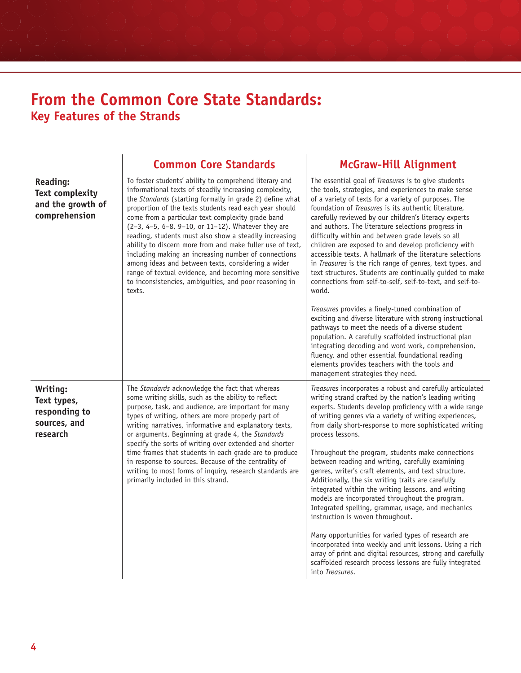## **From the Common Core State Standards: Key Features of the Strands**

|                                                                                 | <b>Common Core Standards</b>                                                                                                                                                                                                                                                                                                                                                                                                                                                                                                                                                                                                                                                                                         | <b>McGraw-Hill Alignment</b>                                                                                                                                                                                                                                                                                                                                                                                                                                                                                                                                                                                                                                                                                                                                                                                                                                                                                                                                                                                      |
|---------------------------------------------------------------------------------|----------------------------------------------------------------------------------------------------------------------------------------------------------------------------------------------------------------------------------------------------------------------------------------------------------------------------------------------------------------------------------------------------------------------------------------------------------------------------------------------------------------------------------------------------------------------------------------------------------------------------------------------------------------------------------------------------------------------|-------------------------------------------------------------------------------------------------------------------------------------------------------------------------------------------------------------------------------------------------------------------------------------------------------------------------------------------------------------------------------------------------------------------------------------------------------------------------------------------------------------------------------------------------------------------------------------------------------------------------------------------------------------------------------------------------------------------------------------------------------------------------------------------------------------------------------------------------------------------------------------------------------------------------------------------------------------------------------------------------------------------|
| <b>Reading:</b><br><b>Text complexity</b><br>and the growth of<br>comprehension | To foster students' ability to comprehend literary and<br>informational texts of steadily increasing complexity,<br>the Standards (starting formally in grade 2) define what<br>proportion of the texts students read each year should<br>come from a particular text complexity grade band<br>(2-3, 4-5, 6-8, 9-10, or 11-12). Whatever they are<br>reading, students must also show a steadily increasing<br>ability to discern more from and make fuller use of text,<br>including making an increasing number of connections<br>among ideas and between texts, considering a wider<br>range of textual evidence, and becoming more sensitive<br>to inconsistencies, ambiguities, and poor reasoning in<br>texts. | The essential goal of Treasures is to give students<br>the tools, strategies, and experiences to make sense<br>of a variety of texts for a variety of purposes. The<br>foundation of Treasures is its authentic literature,<br>carefully reviewed by our children's literacy experts<br>and authors. The literature selections progress in<br>difficulty within and between grade levels so all<br>children are exposed to and develop proficiency with<br>accessible texts. A hallmark of the literature selections<br>in Treasures is the rich range of genres, text types, and<br>text structures. Students are continually guided to make<br>connections from self-to-self, self-to-text, and self-to-<br>world.                                                                                                                                                                                                                                                                                              |
|                                                                                 |                                                                                                                                                                                                                                                                                                                                                                                                                                                                                                                                                                                                                                                                                                                      | Treasures provides a finely-tuned combination of<br>exciting and diverse literature with strong instructional<br>pathways to meet the needs of a diverse student<br>population. A carefully scaffolded instructional plan<br>integrating decoding and word work, comprehension,<br>fluency, and other essential foundational reading<br>elements provides teachers with the tools and<br>management strategies they need.                                                                                                                                                                                                                                                                                                                                                                                                                                                                                                                                                                                         |
| Writing:<br>Text types,<br>responding to<br>sources, and<br>research            | The Standards acknowledge the fact that whereas<br>some writing skills, such as the ability to reflect<br>purpose, task, and audience, are important for many<br>types of writing, others are more properly part of<br>writing narratives, informative and explanatory texts,<br>or arguments. Beginning at grade 4, the Standards<br>specify the sorts of writing over extended and shorter<br>time frames that students in each grade are to produce<br>in response to sources. Because of the centrality of<br>writing to most forms of inquiry, research standards are<br>primarily included in this strand.                                                                                                     | Treasures incorporates a robust and carefully articulated<br>writing strand crafted by the nation's leading writing<br>experts. Students develop proficiency with a wide range<br>of writing genres via a variety of writing experiences,<br>from daily short-response to more sophisticated writing<br>process lessons.<br>Throughout the program, students make connections<br>between reading and writing, carefully examining<br>genres, writer's craft elements, and text structure.<br>Additionally, the six writing traits are carefully<br>integrated within the writing lessons, and writing<br>models are incorporated throughout the program.<br>Integrated spelling, grammar, usage, and mechanics<br>instruction is woven throughout.<br>Many opportunities for varied types of research are<br>incorporated into weekly and unit lessons. Using a rich<br>array of print and digital resources, strong and carefully<br>scaffolded research process lessons are fully integrated<br>into Treasures. |